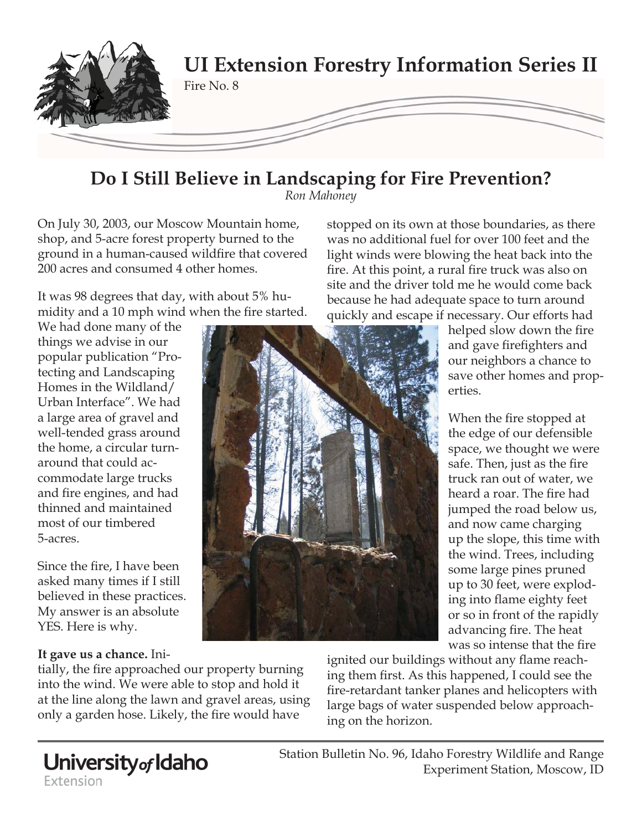

## **Do I Still Believe in Landscaping for Fire Prevention?**

*Ron Mahoney*

On July 30, 2003, our Moscow Mountain home, shop, and 5-acre forest property burned to the ground in a human-caused wildfire that covered 200 acres and consumed 4 other homes.

It was 98 degrees that day, with about 5% humidity and a 10 mph wind when the fire started.

We had done many of the things we advise in our popular publication "Protecting and Landscaping Homes in the Wildland/ Urban Interface". We had a large area of gravel and well-tended grass around the home, a circular turnaround that could accommodate large trucks and fire engines, and had thinned and maintained most of our timbered 5-acres.

Since the fire, I have been asked many times if I still believed in these practices. My answer is an absolute YES. Here is why.

## **It gave us a chance.** Ini-

tially, the fire approached our property burning into the wind. We were able to stop and hold it at the line along the lawn and gravel areas, using only a garden hose. Likely, the fire would have

stopped on its own at those boundaries, as there was no additional fuel for over 100 feet and the light winds were blowing the heat back into the fire. At this point, a rural fire truck was also on site and the driver told me he would come back because he had adequate space to turn around quickly and escape if necessary. Our efforts had



helped slow down the fire and gave firefighters and our neighbors a chance to save other homes and properties.

When the fire stopped at the edge of our defensible space, we thought we were safe. Then, just as the fire truck ran out of water, we heard a roar. The fire had jumped the road below us, and now came charging up the slope, this time with the wind. Trees, including some large pines pruned up to 30 feet, were exploding into flame eighty feet or so in front of the rapidly advancing fire. The heat was so intense that the fire

ignited our buildings without any flame reaching them first. As this happened, I could see the fire-retardant tanker planes and helicopters with large bags of water suspended below approaching on the horizon.

Station Bulletin No. 96, Idaho Forestry Wildlife and Range Experiment Station, Moscow, ID

University<sub>of</sub> Idaho Extension